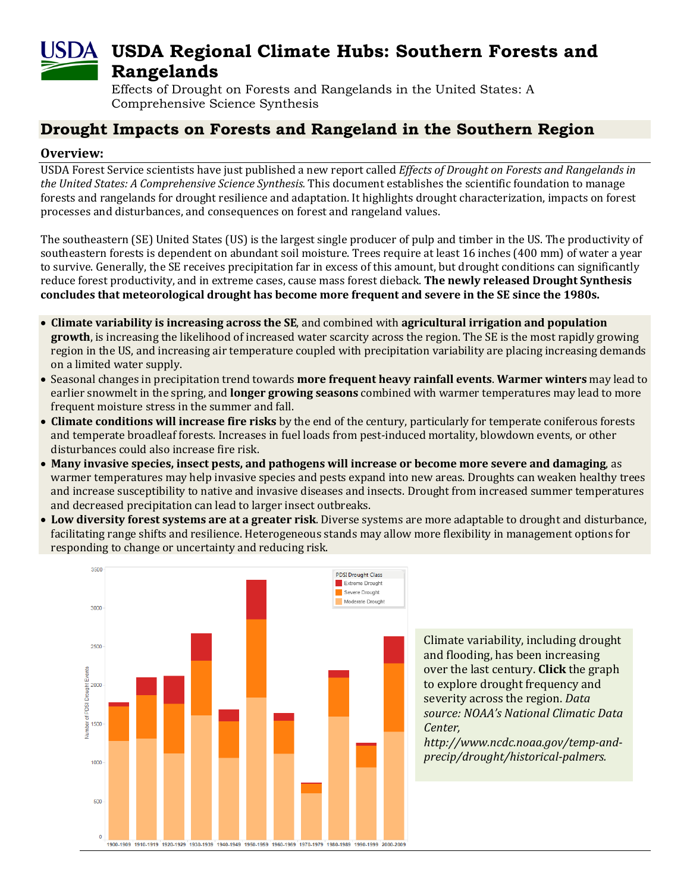# **USDA Regional Climate Hubs: Southern Forests and Rangelands**

Effects of Drought on Forests and Rangelands in the United States: A Comprehensive Science Synthesis

## **Drought Impacts on Forests and Rangeland in the Southern Region**

#### **Overview:**

USDA Forest Service scientists have just published a new report called *Effects of Drought on Forests and Rangelands in the United States: A Comprehensive Science Synthesis.* This document establishes the scientific foundation to manage forests and rangelands for drought resilience and adaptation. It highlights drought characterization, impacts on forest processes and disturbances, and consequences on forest and rangeland values.

The southeastern (SE) United States (US) is the largest single producer of pulp and timber in the US. The productivity of southeastern forests is dependent on abundant soil moisture. Trees require at least 16 inches (400 mm) of water a year to survive. Generally, the SE receives precipitation far in excess of this amount, but drought conditions can significantly reduce forest productivity, and in extreme cases, cause mass forest dieback. **The newly released Drought Synthesis concludes that meteorological drought has become more frequent and severe in the SE since the 1980s.**

- **Climate variability is increasing across the SE**, and combined with **agricultural irrigation and population growth**, is increasing the likelihood of increased water scarcity across the region. The SE is the most rapidly growing region in the US, and increasing air temperature coupled with precipitation variability are placing increasing demands on a limited water supply.
- Seasonal changes in precipitation trend towards **more frequent heavy rainfall events**. **Warmer winters** may lead to earlier snowmelt in the spring, and **longer growing seasons** combined with warmer temperatures may lead to more frequent moisture stress in the summer and fall.
- **Climate conditions will increase fire risks** by the end of the century, particularly for temperate coniferous forests and temperate broadleaf forests. Increases in fuel loads from pest-induced mortality, blowdown events, or other disturbances could also increase fire risk.
- **Many invasive species, insect pests, and pathogens will increase or become more severe and damaging**, as warmer temperatures may help invasive species and pests expand into new areas. Droughts can weaken healthy trees and increase susceptibility to native and invasive diseases and insects. Drought from increased summer temperatures and decreased precipitation can lead to larger insect outbreaks.
- **Low diversity forest systems are at a greater risk**. Diverse systems are more adaptable to drought and disturbance, facilitating range shifts and resilience. Heterogeneous stands may allow more flexibility in management options for responding to change or uncertainty and reducing risk.



Climate variability, including drought and flooding, has been increasing over the last century. **Click** the graph to explore drought frequency and severity across the region. *Data source: NOAA's National Climatic Data* 

*http://www.ncdc.noaa.gov/temp-andprecip/drought/historical-palmers.*